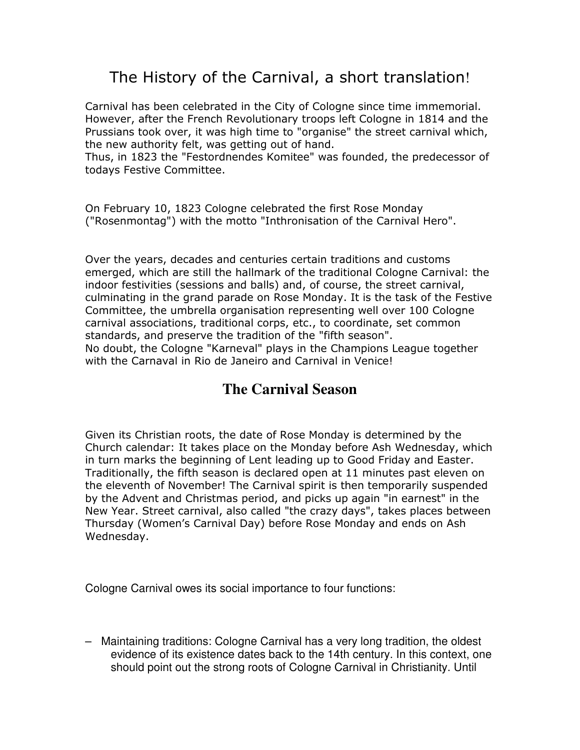## The History of the Carnival, a short translation!

Carnival has been celebrated in the City of Cologne since time immemorial. However, after the French Revolutionary troops left Cologne in 1814 and the Prussians took over, it was high time to "organise" the street carnival which, the new authority felt, was getting out of hand.

Thus, in 1823 the "Festordnendes Komitee" was founded, the predecessor of todays Festive Committee.

On February 10, 1823 Cologne celebrated the first Rose Monday ("Rosenmontag") with the motto "Inthronisation of the Carnival Hero".

Over the years, decades and centuries certain traditions and customs emerged, which are still the hallmark of the traditional Cologne Carnival: the indoor festivities (sessions and balls) and, of course, the street carnival, culminating in the grand parade on Rose Monday. It is the task of the Festive Committee, the umbrella organisation representing well over 100 Cologne carnival associations, traditional corps, etc., to coordinate, set common standards, and preserve the tradition of the "fifth season". No doubt, the Cologne "Karneval" plays in the Champions League together with the Carnaval in Rio de Janeiro and Carnival in Venice!

## **The Carnival Season**

Given its Christian roots, the date of Rose Monday is determined by the Church calendar: It takes place on the Monday before Ash Wednesday, which in turn marks the beginning of Lent leading up to Good Friday and Easter. Traditionally, the fifth season is declared open at 11 minutes past eleven on the eleventh of November! The Carnival spirit is then temporarily suspended by the Advent and Christmas period, and picks up again "in earnest" in the New Year. Street carnival, also called "the crazy days", takes places between Thursday (Women's Carnival Day) before Rose Monday and ends on Ash Wednesday.

Cologne Carnival owes its social importance to four functions:

– Maintaining traditions: Cologne Carnival has a very long tradition, the oldest evidence of its existence dates back to the 14th century. In this context, one should point out the strong roots of Cologne Carnival in Christianity. Until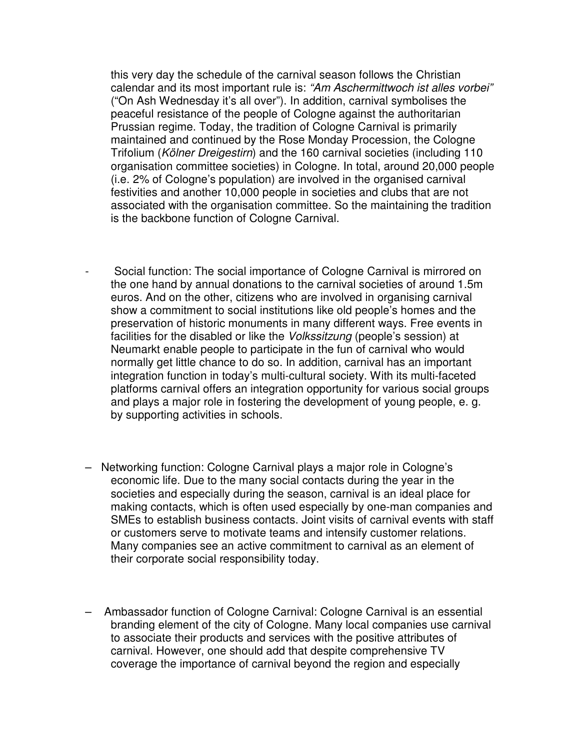this very day the schedule of the carnival season follows the Christian calendar and its most important rule is: "Am Aschermittwoch ist alles vorbei" ("On Ash Wednesday it's all over"). In addition, carnival symbolises the peaceful resistance of the people of Cologne against the authoritarian Prussian regime. Today, the tradition of Cologne Carnival is primarily maintained and continued by the Rose Monday Procession, the Cologne Trifolium (Kölner Dreigestirn) and the 160 carnival societies (including 110 organisation committee societies) in Cologne. In total, around 20,000 people (i.e. 2% of Cologne's population) are involved in the organised carnival festivities and another 10,000 people in societies and clubs that are not associated with the organisation committee. So the maintaining the tradition is the backbone function of Cologne Carnival.

- Social function: The social importance of Cologne Carnival is mirrored on the one hand by annual donations to the carnival societies of around 1.5m euros. And on the other, citizens who are involved in organising carnival show a commitment to social institutions like old people's homes and the preservation of historic monuments in many different ways. Free events in facilities for the disabled or like the Volkssitzung (people's session) at Neumarkt enable people to participate in the fun of carnival who would normally get little chance to do so. In addition, carnival has an important integration function in today's multi-cultural society. With its multi-faceted platforms carnival offers an integration opportunity for various social groups and plays a major role in fostering the development of young people, e. g. by supporting activities in schools.
- Networking function: Cologne Carnival plays a major role in Cologne's economic life. Due to the many social contacts during the year in the societies and especially during the season, carnival is an ideal place for making contacts, which is often used especially by one-man companies and SMEs to establish business contacts. Joint visits of carnival events with staff or customers serve to motivate teams and intensify customer relations. Many companies see an active commitment to carnival as an element of their corporate social responsibility today.
- Ambassador function of Cologne Carnival: Cologne Carnival is an essential branding element of the city of Cologne. Many local companies use carnival to associate their products and services with the positive attributes of carnival. However, one should add that despite comprehensive TV coverage the importance of carnival beyond the region and especially